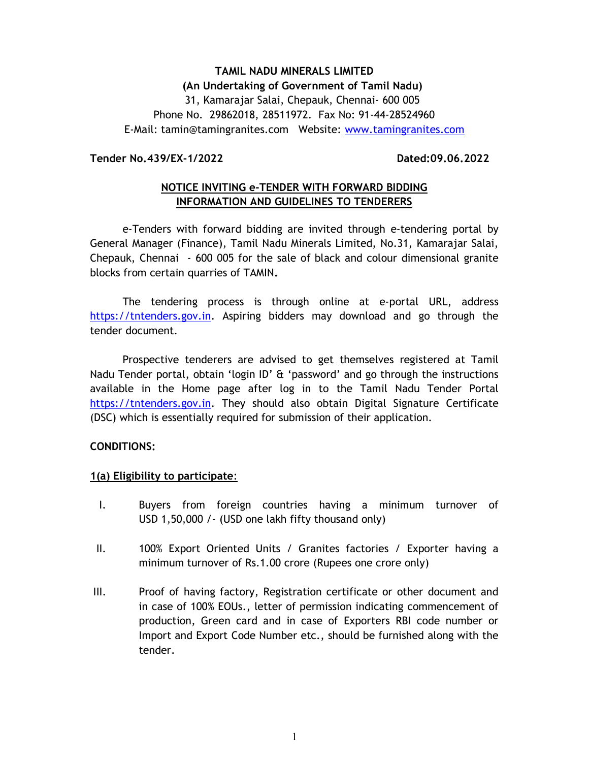# TAMIL NADU MINERALS LIMITED (An Undertaking of Government of Tamil Nadu) 31, Kamarajar Salai, Chepauk, Chennai- 600 005 Phone No. 29862018, 28511972. Fax No: 91-44-28524960 E-Mail: tamin@tamingranites.com Website: www.tamingranites.com

#### Tender No.439/EX-1/2022 Dated:09.06.2022

## NOTICE INVITING e-TENDER WITH FORWARD BIDDING INFORMATION AND GUIDELINES TO TENDERERS

e-Tenders with forward bidding are invited through e-tendering portal by General Manager (Finance), Tamil Nadu Minerals Limited, No.31, Kamarajar Salai, Chepauk, Chennai - 600 005 for the sale of black and colour dimensional granite blocks from certain quarries of TAMIN.

The tendering process is through online at e-portal URL, address https://tntenders.gov.in. Aspiring bidders may download and go through the tender document.

Prospective tenderers are advised to get themselves registered at Tamil Nadu Tender portal, obtain 'login ID' & 'password' and go through the instructions available in the Home page after log in to the Tamil Nadu Tender Portal https://tntenders.gov.in. They should also obtain Digital Signature Certificate (DSC) which is essentially required for submission of their application.

#### CONDITIONS:

#### 1(a) Eligibility to participate:

- I. Buyers from foreign countries having a minimum turnover of USD 1,50,000 /- (USD one lakh fifty thousand only)
- II. 100% Export Oriented Units / Granites factories / Exporter having a minimum turnover of Rs.1.00 crore (Rupees one crore only)
- III. Proof of having factory, Registration certificate or other document and in case of 100% EOUs., letter of permission indicating commencement of production, Green card and in case of Exporters RBI code number or Import and Export Code Number etc., should be furnished along with the tender.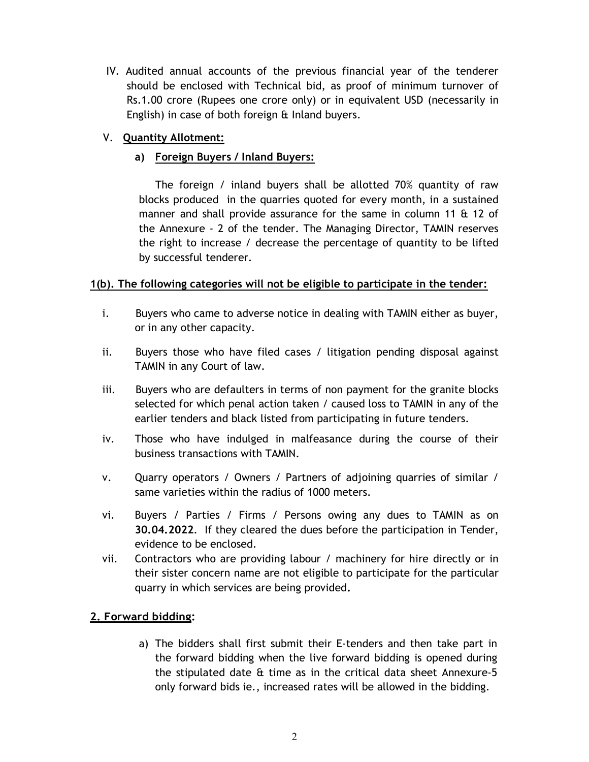IV. Audited annual accounts of the previous financial year of the tenderer should be enclosed with Technical bid, as proof of minimum turnover of Rs.1.00 crore (Rupees one crore only) or in equivalent USD (necessarily in English) in case of both foreign & Inland buyers.

## V. Quantity Allotment:

# a) Foreign Buyers / Inland Buyers:

 The foreign / inland buyers shall be allotted 70% quantity of raw blocks produced in the quarries quoted for every month, in a sustained manner and shall provide assurance for the same in column 11 & 12 of the Annexure - 2 of the tender. The Managing Director, TAMIN reserves the right to increase / decrease the percentage of quantity to be lifted by successful tenderer.

## 1(b). The following categories will not be eligible to participate in the tender:

- i. Buyers who came to adverse notice in dealing with TAMIN either as buyer, or in any other capacity.
- ii. Buyers those who have filed cases / litigation pending disposal against TAMIN in any Court of law.
- iii. Buyers who are defaulters in terms of non payment for the granite blocks selected for which penal action taken / caused loss to TAMIN in any of the earlier tenders and black listed from participating in future tenders.
- iv. Those who have indulged in malfeasance during the course of their business transactions with TAMIN.
- v. Quarry operators / Owners / Partners of adjoining quarries of similar / same varieties within the radius of 1000 meters.
- vi. Buyers / Parties / Firms / Persons owing any dues to TAMIN as on 30.04.2022. If they cleared the dues before the participation in Tender, evidence to be enclosed.
- vii. Contractors who are providing labour / machinery for hire directly or in their sister concern name are not eligible to participate for the particular quarry in which services are being provided.

# 2. Forward bidding:

a) The bidders shall first submit their E-tenders and then take part in the forward bidding when the live forward bidding is opened during the stipulated date & time as in the critical data sheet Annexure-5 only forward bids ie., increased rates will be allowed in the bidding.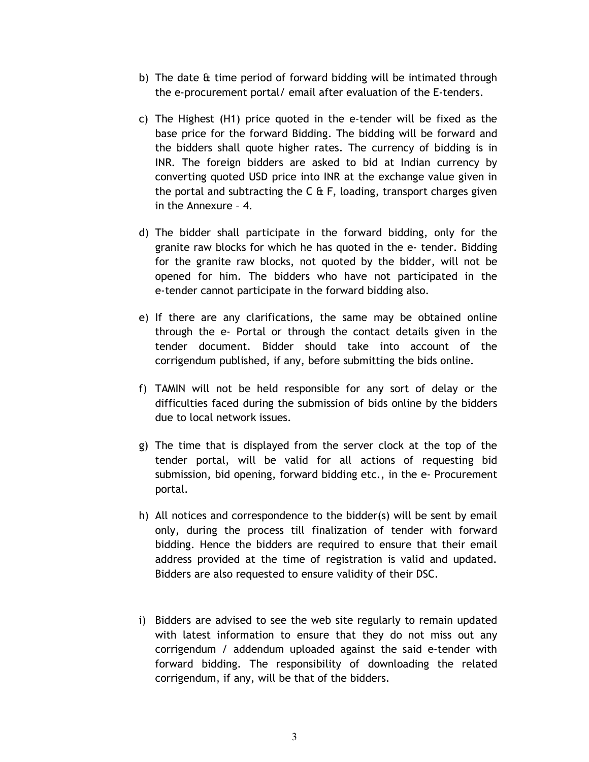- b) The date & time period of forward bidding will be intimated through the e-procurement portal/ email after evaluation of the E-tenders.
- c) The Highest (H1) price quoted in the e-tender will be fixed as the base price for the forward Bidding. The bidding will be forward and the bidders shall quote higher rates. The currency of bidding is in INR. The foreign bidders are asked to bid at Indian currency by converting quoted USD price into INR at the exchange value given in the portal and subtracting the  $C \oplus F$ , loading, transport charges given in the Annexure – 4.
- d) The bidder shall participate in the forward bidding, only for the granite raw blocks for which he has quoted in the e- tender. Bidding for the granite raw blocks, not quoted by the bidder, will not be opened for him. The bidders who have not participated in the e-tender cannot participate in the forward bidding also.
- e) If there are any clarifications, the same may be obtained online through the e- Portal or through the contact details given in the tender document. Bidder should take into account of the corrigendum published, if any, before submitting the bids online.
- f) TAMIN will not be held responsible for any sort of delay or the difficulties faced during the submission of bids online by the bidders due to local network issues.
- g) The time that is displayed from the server clock at the top of the tender portal, will be valid for all actions of requesting bid submission, bid opening, forward bidding etc., in the e- Procurement portal.
- h) All notices and correspondence to the bidder(s) will be sent by email only, during the process till finalization of tender with forward bidding. Hence the bidders are required to ensure that their email address provided at the time of registration is valid and updated. Bidders are also requested to ensure validity of their DSC.
- i) Bidders are advised to see the web site regularly to remain updated with latest information to ensure that they do not miss out any corrigendum / addendum uploaded against the said e-tender with forward bidding. The responsibility of downloading the related corrigendum, if any, will be that of the bidders.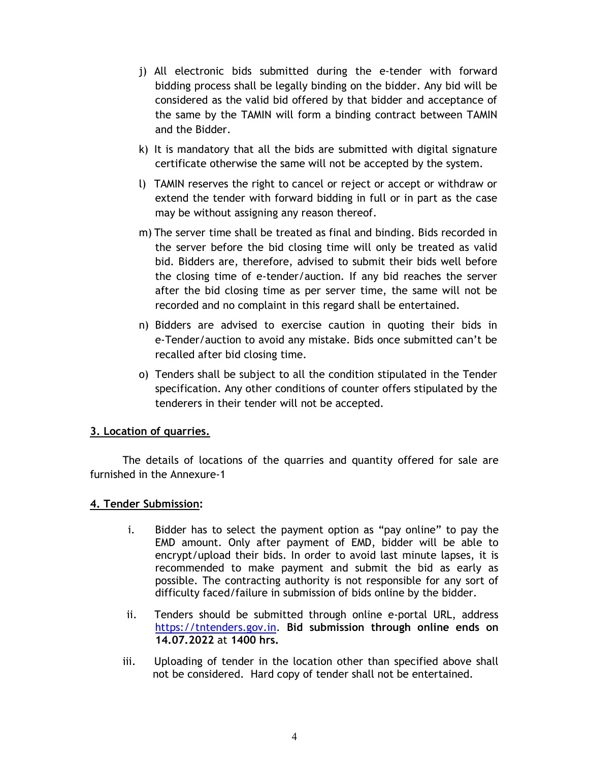- j) All electronic bids submitted during the e-tender with forward bidding process shall be legally binding on the bidder. Any bid will be considered as the valid bid offered by that bidder and acceptance of the same by the TAMIN will form a binding contract between TAMIN and the Bidder.
- k) It is mandatory that all the bids are submitted with digital signature certificate otherwise the same will not be accepted by the system.
- l) TAMIN reserves the right to cancel or reject or accept or withdraw or extend the tender with forward bidding in full or in part as the case may be without assigning any reason thereof.
- m) The server time shall be treated as final and binding. Bids recorded in the server before the bid closing time will only be treated as valid bid. Bidders are, therefore, advised to submit their bids well before the closing time of e-tender/auction. If any bid reaches the server after the bid closing time as per server time, the same will not be recorded and no complaint in this regard shall be entertained.
- n) Bidders are advised to exercise caution in quoting their bids in e-Tender/auction to avoid any mistake. Bids once submitted can't be recalled after bid closing time.
- o) Tenders shall be subject to all the condition stipulated in the Tender specification. Any other conditions of counter offers stipulated by the tenderers in their tender will not be accepted.

## 3. Location of quarries.

The details of locations of the quarries and quantity offered for sale are furnished in the Annexure-1

## 4. Tender Submission:

- i. Bidder has to select the payment option as "pay online" to pay the EMD amount. Only after payment of EMD, bidder will be able to encrypt/upload their bids. In order to avoid last minute lapses, it is recommended to make payment and submit the bid as early as possible. The contracting authority is not responsible for any sort of difficulty faced/failure in submission of bids online by the bidder.
- ii. Tenders should be submitted through online e-portal URL, address https://tntenders.gov.in. Bid submission through online ends on 14.07.2022 at 1400 hrs.
- iii. Uploading of tender in the location other than specified above shall not be considered. Hard copy of tender shall not be entertained.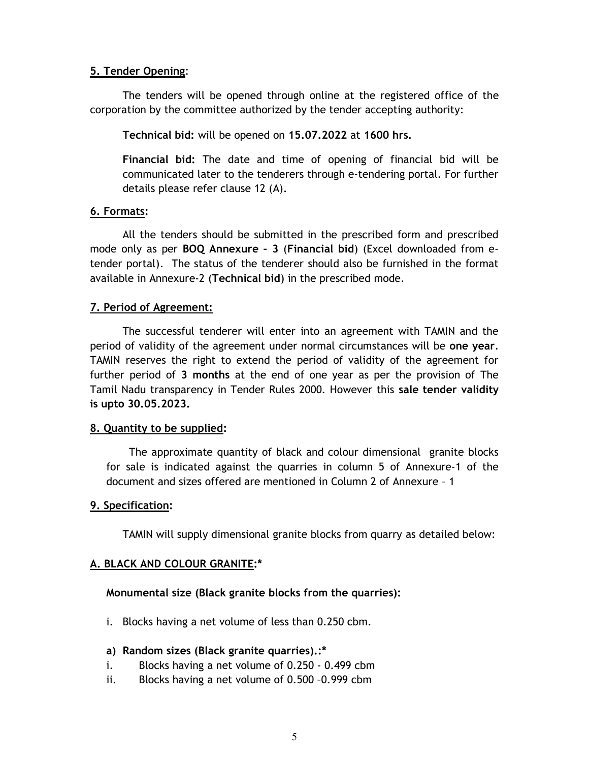#### 5. Tender Opening:

 The tenders will be opened through online at the registered office of the corporation by the committee authorized by the tender accepting authority:

Technical bid: will be opened on 15.07.2022 at 1600 hrs.

Financial bid: The date and time of opening of financial bid will be communicated later to the tenderers through e-tendering portal. For further details please refer clause 12 (A).

#### 6. Formats:

All the tenders should be submitted in the prescribed form and prescribed mode only as per BOQ Annexure – 3 (Financial bid) (Excel downloaded from etender portal). The status of the tenderer should also be furnished in the format available in Annexure-2 (Technical bid) in the prescribed mode.

## 7. Period of Agreement:

The successful tenderer will enter into an agreement with TAMIN and the period of validity of the agreement under normal circumstances will be one year. TAMIN reserves the right to extend the period of validity of the agreement for further period of 3 months at the end of one year as per the provision of The Tamil Nadu transparency in Tender Rules 2000. However this sale tender validity is upto 30.05.2023.

#### 8. Quantity to be supplied:

 The approximate quantity of black and colour dimensional granite blocks for sale is indicated against the quarries in column 5 of Annexure-1 of the document and sizes offered are mentioned in Column 2 of Annexure – 1

#### 9. Specification:

TAMIN will supply dimensional granite blocks from quarry as detailed below:

## A. BLACK AND COLOUR GRANITE:\*

#### Monumental size (Black granite blocks from the quarries):

- i. Blocks having a net volume of less than 0.250 cbm.
- a) Random sizes (Black granite quarries).:\*
- i. Blocks having a net volume of 0.250 0.499 cbm
- ii. Blocks having a net volume of 0.500 –0.999 cbm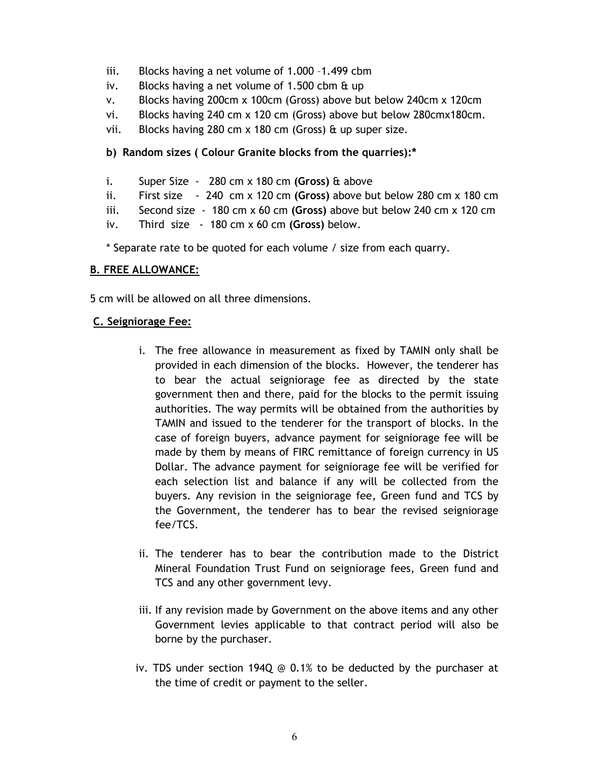- iii. Blocks having a net volume of 1.000 –1.499 cbm
- iv. Blocks having a net volume of 1.500 cbm & up
- v. Blocks having 200cm x 100cm (Gross) above but below 240cm x 120cm
- vi. Blocks having 240 cm x 120 cm (Gross) above but below 280cmx180cm.
- vii. Blocks having 280 cm x 180 cm (Gross) & up super size.

#### b) Random sizes ( Colour Granite blocks from the quarries):\*

- i. Super Size  $-280$  cm  $\times$  180 cm (Gross) & above
- ii. First size  $-240$  cm x 120 cm (Gross) above but below 280 cm x 180 cm
- iii. Second size  $-180$  cm x 60 cm (Gross) above but below 240 cm x 120 cm
- iv. Third size  $-180$  cm  $\times$  60 cm (Gross) below.

\* Separate rate to be quoted for each volume / size from each quarry.

#### B. FREE ALLOWANCE:

5 cm will be allowed on all three dimensions.

#### C. Seigniorage Fee:

- i. The free allowance in measurement as fixed by TAMIN only shall be provided in each dimension of the blocks. However, the tenderer has to bear the actual seigniorage fee as directed by the state government then and there, paid for the blocks to the permit issuing authorities. The way permits will be obtained from the authorities by TAMIN and issued to the tenderer for the transport of blocks. In the case of foreign buyers, advance payment for seigniorage fee will be made by them by means of FIRC remittance of foreign currency in US Dollar. The advance payment for seigniorage fee will be verified for each selection list and balance if any will be collected from the buyers. Any revision in the seigniorage fee, Green fund and TCS by the Government, the tenderer has to bear the revised seigniorage fee/TCS.
- ii. The tenderer has to bear the contribution made to the District Mineral Foundation Trust Fund on seigniorage fees, Green fund and TCS and any other government levy.
- iii. If any revision made by Government on the above items and any other Government levies applicable to that contract period will also be borne by the purchaser.
- iv. TDS under section 194Q  $\odot$  0.1% to be deducted by the purchaser at the time of credit or payment to the seller.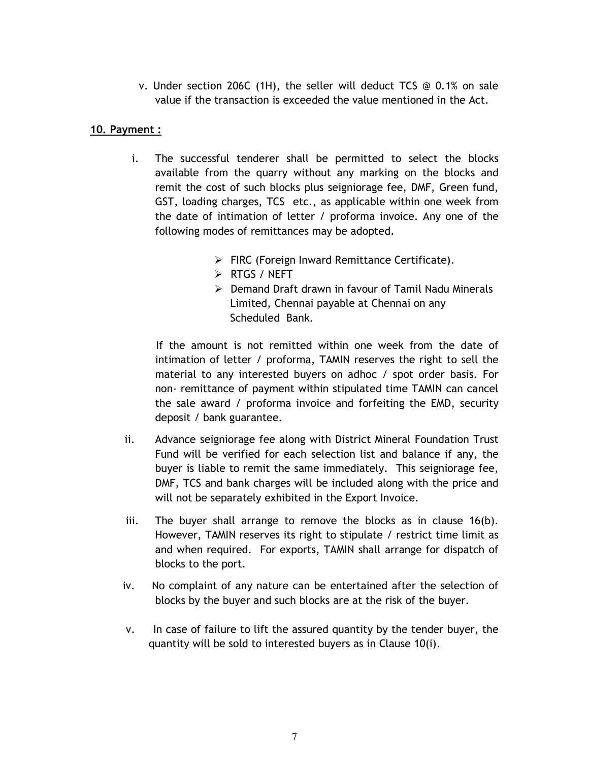v. Under section 206C (1H), the seller will deduct TCS @ 0.1% on sale value if the transaction is exceeded the value mentioned in the Act.

#### 10. Payment :

- i. The successful tenderer shall be permitted to select the blocks available from the quarry without any marking on the blocks and remit the cost of such blocks plus seigniorage fee, DMF, Green fund, GST, loading charges, TCS etc., as applicable within one week from the date of intimation of letter / proforma invoice. Any one of the following modes of remittances may be adopted.
	- $\triangleright$  FIRC (Foreign Inward Remittance Certificate).
	- **EXAMPLE PROPERT**
	- Demand Draft drawn in favour of Tamil Nadu Minerals Limited, Chennai payable at Chennai on any Scheduled Bank.

 If the amount is not remitted within one week from the date of intimation of letter / proforma, TAMIN reserves the right to sell the material to any interested buyers on adhoc / spot order basis. For non- remittance of payment within stipulated time TAMIN can cancel the sale award / proforma invoice and forfeiting the EMD, security deposit / bank guarantee.

- ii. Advance seigniorage fee along with District Mineral Foundation Trust Fund will be verified for each selection list and balance if any, the buyer is liable to remit the same immediately. This seigniorage fee, DMF, TCS and bank charges will be included along with the price and will not be separately exhibited in the Export Invoice.
- iii. The buyer shall arrange to remove the blocks as in clause  $16(b)$ . However, TAMIN reserves its right to stipulate / restrict time limit as and when required. For exports, TAMIN shall arrange for dispatch of blocks to the port.
- iv. No complaint of any nature can be entertained after the selection of blocks by the buyer and such blocks are at the risk of the buyer.
- v. In case of failure to lift the assured quantity by the tender buyer, the quantity will be sold to interested buyers as in Clause 10(i).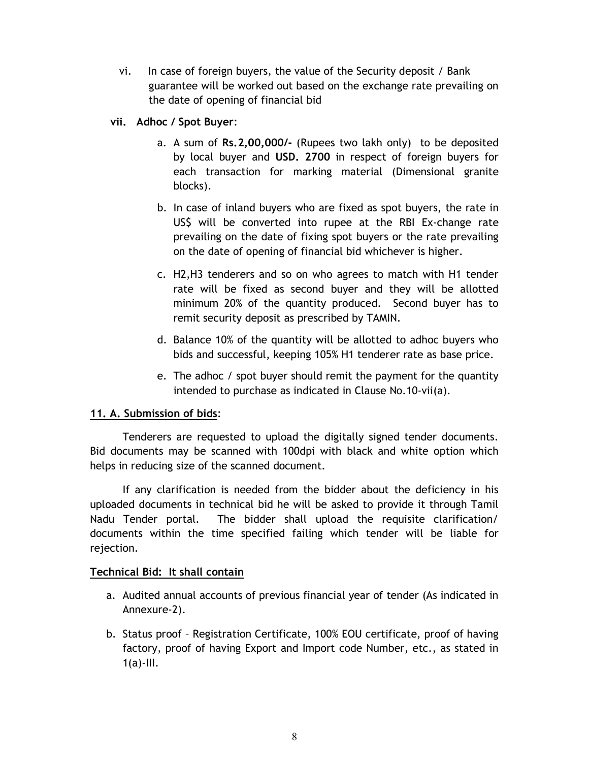- vi. In case of foreign buyers, the value of the Security deposit / Bank guarantee will be worked out based on the exchange rate prevailing on the date of opening of financial bid
- vii. Adhoc / Spot Buyer:
	- a. A sum of Rs.2,00,000/- (Rupees two lakh only) to be deposited by local buyer and USD. 2700 in respect of foreign buyers for each transaction for marking material (Dimensional granite blocks).
	- b. In case of inland buyers who are fixed as spot buyers, the rate in US\$ will be converted into rupee at the RBI Ex-change rate prevailing on the date of fixing spot buyers or the rate prevailing on the date of opening of financial bid whichever is higher.
	- c. H2,H3 tenderers and so on who agrees to match with H1 tender rate will be fixed as second buyer and they will be allotted minimum 20% of the quantity produced. Second buyer has to remit security deposit as prescribed by TAMIN.
	- d. Balance 10% of the quantity will be allotted to adhoc buyers who bids and successful, keeping 105% H1 tenderer rate as base price.
	- e. The adhoc / spot buyer should remit the payment for the quantity intended to purchase as indicated in Clause No.10-vii(a).

## 11. A. Submission of bids:

Tenderers are requested to upload the digitally signed tender documents. Bid documents may be scanned with 100dpi with black and white option which helps in reducing size of the scanned document.

If any clarification is needed from the bidder about the deficiency in his uploaded documents in technical bid he will be asked to provide it through Tamil Nadu Tender portal. The bidder shall upload the requisite clarification/ documents within the time specified failing which tender will be liable for rejection.

## Technical Bid: It shall contain

- a. Audited annual accounts of previous financial year of tender (As indicated in Annexure-2).
- b. Status proof Registration Certificate, 100% EOU certificate, proof of having factory, proof of having Export and Import code Number, etc., as stated in  $1(a)$ -III.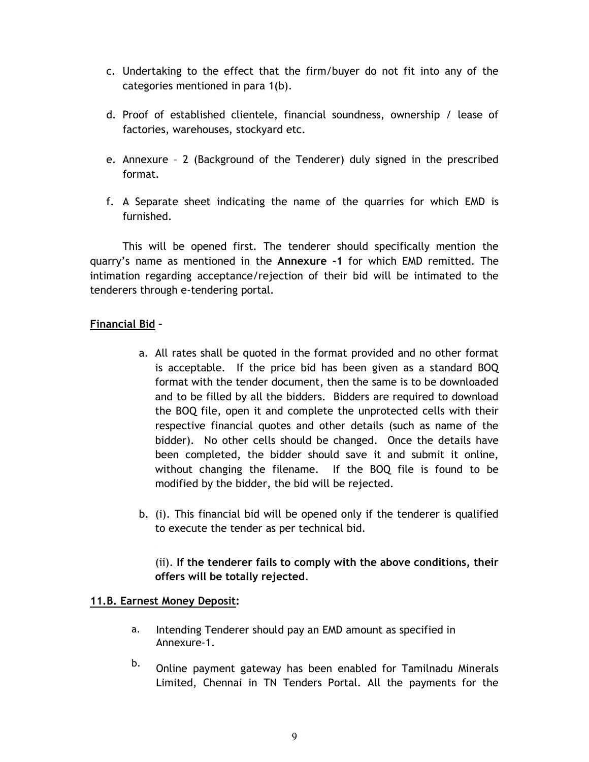- c. Undertaking to the effect that the firm/buyer do not fit into any of the categories mentioned in para 1(b).
- d. Proof of established clientele, financial soundness, ownership / lease of factories, warehouses, stockyard etc.
- e. Annexure 2 (Background of the Tenderer) duly signed in the prescribed format.
- f. A Separate sheet indicating the name of the quarries for which EMD is furnished.

 This will be opened first. The tenderer should specifically mention the quarry's name as mentioned in the Annexure -1 for which EMD remitted. The intimation regarding acceptance/rejection of their bid will be intimated to the tenderers through e-tendering portal.

## Financial Bid –

- a. All rates shall be quoted in the format provided and no other format is acceptable. If the price bid has been given as a standard BOQ format with the tender document, then the same is to be downloaded and to be filled by all the bidders. Bidders are required to download the BOQ file, open it and complete the unprotected cells with their respective financial quotes and other details (such as name of the bidder). No other cells should be changed. Once the details have been completed, the bidder should save it and submit it online, without changing the filename. If the BOQ file is found to be modified by the bidder, the bid will be rejected.
- b. (i). This financial bid will be opened only if the tenderer is qualified to execute the tender as per technical bid.

## (ii). If the tenderer fails to comply with the above conditions, their offers will be totally rejected.

## 11.B. Earnest Money Deposit:

- a. Intending Tenderer should pay an EMD amount as specified in Annexure-1.
- b. Online payment gateway has been enabled for Tamilnadu Minerals Limited, Chennai in TN Tenders Portal. All the payments for the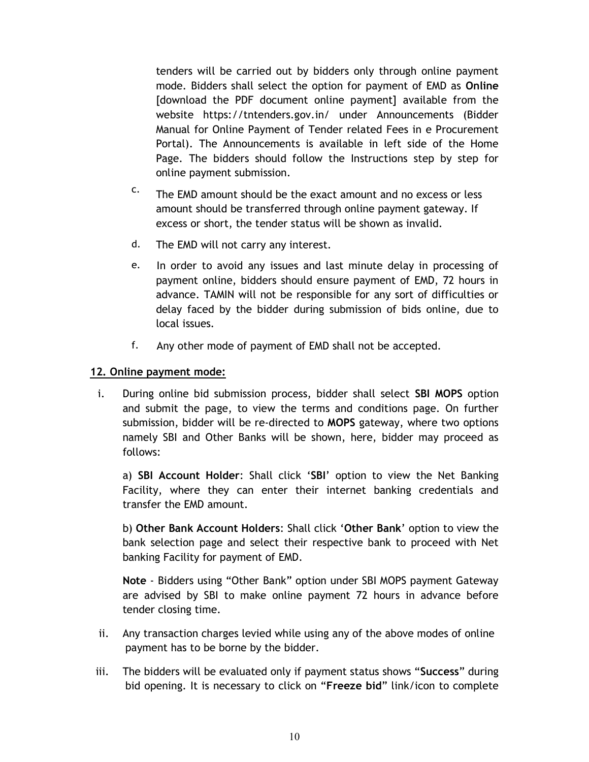tenders will be carried out by bidders only through online payment mode. Bidders shall select the option for payment of EMD as Online [download the PDF document online payment] available from the website https://tntenders.gov.in/ under Announcements (Bidder Manual for Online Payment of Tender related Fees in e Procurement Portal). The Announcements is available in left side of the Home Page. The bidders should follow the Instructions step by step for online payment submission.

- c. The EMD amount should be the exact amount and no excess or less amount should be transferred through online payment gateway. If excess or short, the tender status will be shown as invalid.
- d. The EMD will not carry any interest.
- e. In order to avoid any issues and last minute delay in processing of payment online, bidders should ensure payment of EMD, 72 hours in advance. TAMIN will not be responsible for any sort of difficulties or delay faced by the bidder during submission of bids online, due to local issues.
- f. Any other mode of payment of EMD shall not be accepted.

#### 12. Online payment mode:

i. During online bid submission process, bidder shall select SBI MOPS option and submit the page, to view the terms and conditions page. On further submission, bidder will be re-directed to MOPS gateway, where two options namely SBI and Other Banks will be shown, here, bidder may proceed as follows:

a) SBI Account Holder: Shall click 'SBI' option to view the Net Banking Facility, where they can enter their internet banking credentials and transfer the EMD amount.

b) Other Bank Account Holders: Shall click 'Other Bank' option to view the bank selection page and select their respective bank to proceed with Net banking Facility for payment of EMD.

Note - Bidders using "Other Bank" option under SBI MOPS payment Gateway are advised by SBI to make online payment 72 hours in advance before tender closing time.

- ii. Any transaction charges levied while using any of the above modes of online payment has to be borne by the bidder.
- iii. The bidders will be evaluated only if payment status shows "Success" during bid opening. It is necessary to click on "Freeze bid" link/icon to complete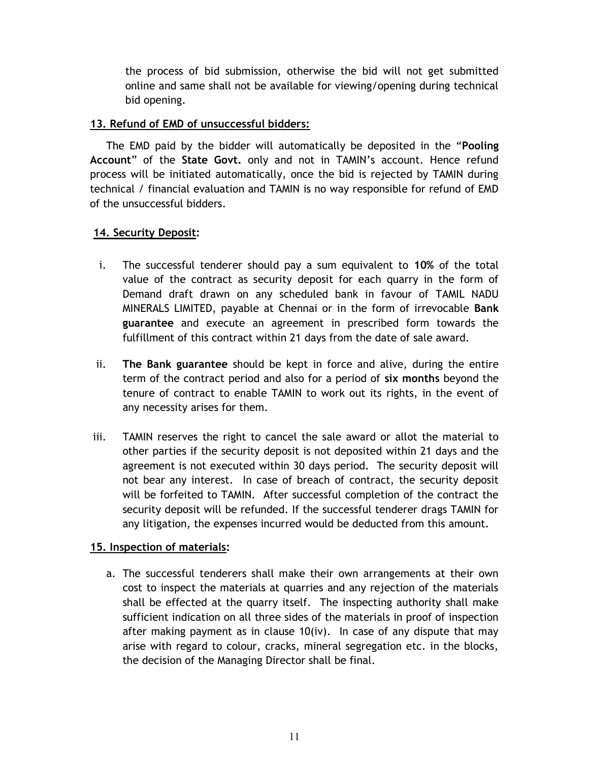the process of bid submission, otherwise the bid will not get submitted online and same shall not be available for viewing/opening during technical bid opening.

#### 13. Refund of EMD of unsuccessful bidders:

The EMD paid by the bidder will automatically be deposited in the "Pooling Account" of the State Govt. only and not in TAMIN's account. Hence refund process will be initiated automatically, once the bid is rejected by TAMIN during technical / financial evaluation and TAMIN is no way responsible for refund of EMD of the unsuccessful bidders.

## 14. Security Deposit:

- i. The successful tenderer should pay a sum equivalent to 10% of the total value of the contract as security deposit for each quarry in the form of Demand draft drawn on any scheduled bank in favour of TAMIL NADU MINERALS LIMITED, payable at Chennai or in the form of irrevocable Bank guarantee and execute an agreement in prescribed form towards the fulfillment of this contract within 21 days from the date of sale award.
- ii. The Bank guarantee should be kept in force and alive, during the entire term of the contract period and also for a period of six months beyond the tenure of contract to enable TAMIN to work out its rights, in the event of any necessity arises for them.
- iii. TAMIN reserves the right to cancel the sale award or allot the material to other parties if the security deposit is not deposited within 21 days and the agreement is not executed within 30 days period. The security deposit will not bear any interest. In case of breach of contract, the security deposit will be forfeited to TAMIN. After successful completion of the contract the security deposit will be refunded. If the successful tenderer drags TAMIN for any litigation, the expenses incurred would be deducted from this amount.

## 15. Inspection of materials:

a. The successful tenderers shall make their own arrangements at their own cost to inspect the materials at quarries and any rejection of the materials shall be effected at the quarry itself. The inspecting authority shall make sufficient indication on all three sides of the materials in proof of inspection after making payment as in clause 10(iv). In case of any dispute that may arise with regard to colour, cracks, mineral segregation etc. in the blocks, the decision of the Managing Director shall be final.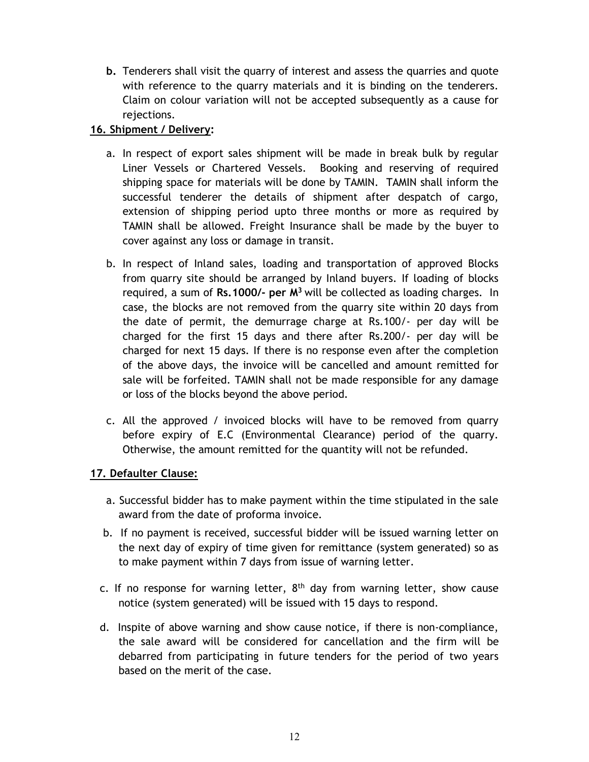b. Tenderers shall visit the quarry of interest and assess the quarries and quote with reference to the quarry materials and it is binding on the tenderers. Claim on colour variation will not be accepted subsequently as a cause for rejections.

# 16. Shipment / Delivery:

- a. In respect of export sales shipment will be made in break bulk by regular Liner Vessels or Chartered Vessels. Booking and reserving of required shipping space for materials will be done by TAMIN. TAMIN shall inform the successful tenderer the details of shipment after despatch of cargo, extension of shipping period upto three months or more as required by TAMIN shall be allowed. Freight Insurance shall be made by the buyer to cover against any loss or damage in transit.
- b. In respect of Inland sales, loading and transportation of approved Blocks from quarry site should be arranged by Inland buyers. If loading of blocks required, a sum of Rs.1000/- per  $M<sup>3</sup>$  will be collected as loading charges. In case, the blocks are not removed from the quarry site within 20 days from the date of permit, the demurrage charge at Rs.100/- per day will be charged for the first 15 days and there after Rs.200/- per day will be charged for next 15 days. If there is no response even after the completion of the above days, the invoice will be cancelled and amount remitted for sale will be forfeited. TAMIN shall not be made responsible for any damage or loss of the blocks beyond the above period.
- c. All the approved / invoiced blocks will have to be removed from quarry before expiry of E.C (Environmental Clearance) period of the quarry. Otherwise, the amount remitted for the quantity will not be refunded.

## 17. Defaulter Clause:

- a. Successful bidder has to make payment within the time stipulated in the sale award from the date of proforma invoice.
- b. If no payment is received, successful bidder will be issued warning letter on the next day of expiry of time given for remittance (system generated) so as to make payment within 7 days from issue of warning letter.
- c. If no response for warning letter,  $8<sup>th</sup>$  day from warning letter, show cause notice (system generated) will be issued with 15 days to respond.
- d. Inspite of above warning and show cause notice, if there is non-compliance, the sale award will be considered for cancellation and the firm will be debarred from participating in future tenders for the period of two years based on the merit of the case.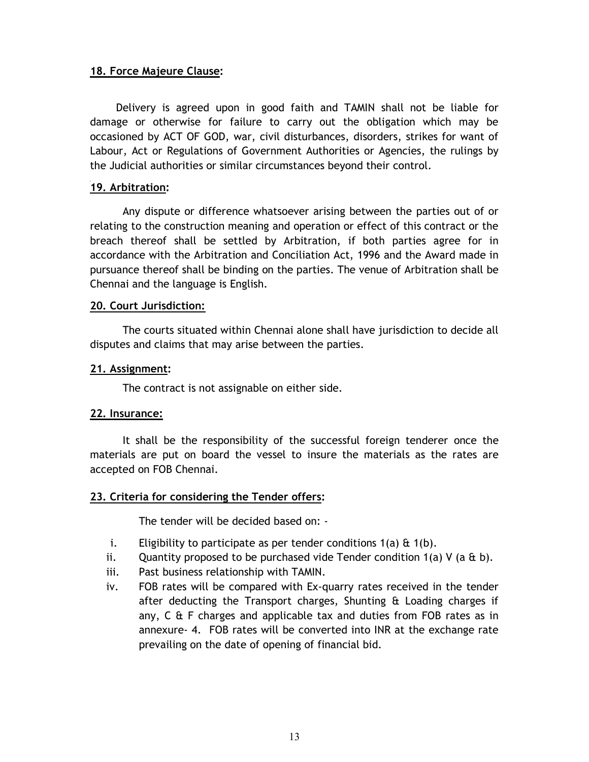#### 18. Force Majeure Clause:

 Delivery is agreed upon in good faith and TAMIN shall not be liable for damage or otherwise for failure to carry out the obligation which may be occasioned by ACT OF GOD, war, civil disturbances, disorders, strikes for want of Labour, Act or Regulations of Government Authorities or Agencies, the rulings by the Judicial authorities or similar circumstances beyond their control.

#### 19. Arbitration:

Any dispute or difference whatsoever arising between the parties out of or relating to the construction meaning and operation or effect of this contract or the breach thereof shall be settled by Arbitration, if both parties agree for in accordance with the Arbitration and Conciliation Act, 1996 and the Award made in pursuance thereof shall be binding on the parties. The venue of Arbitration shall be Chennai and the language is English.

#### 20. Court Jurisdiction:

The courts situated within Chennai alone shall have jurisdiction to decide all disputes and claims that may arise between the parties.

#### 21. Assignment:

The contract is not assignable on either side.

#### 22. Insurance:

It shall be the responsibility of the successful foreign tenderer once the materials are put on board the vessel to insure the materials as the rates are accepted on FOB Chennai.

#### 23. Criteria for considering the Tender offers:

The tender will be decided based on: -

- i. Eligibility to participate as per tender conditions  $1(a) \& 1(b)$ .
- ii. Quantity proposed to be purchased vide Tender condition  $1(a)$  V (a & b).
- iii. Past business relationship with TAMIN.
- iv. FOB rates will be compared with Ex-quarry rates received in the tender after deducting the Transport charges, Shunting & Loading charges if any, C & F charges and applicable tax and duties from FOB rates as in annexure- 4. FOB rates will be converted into INR at the exchange rate prevailing on the date of opening of financial bid.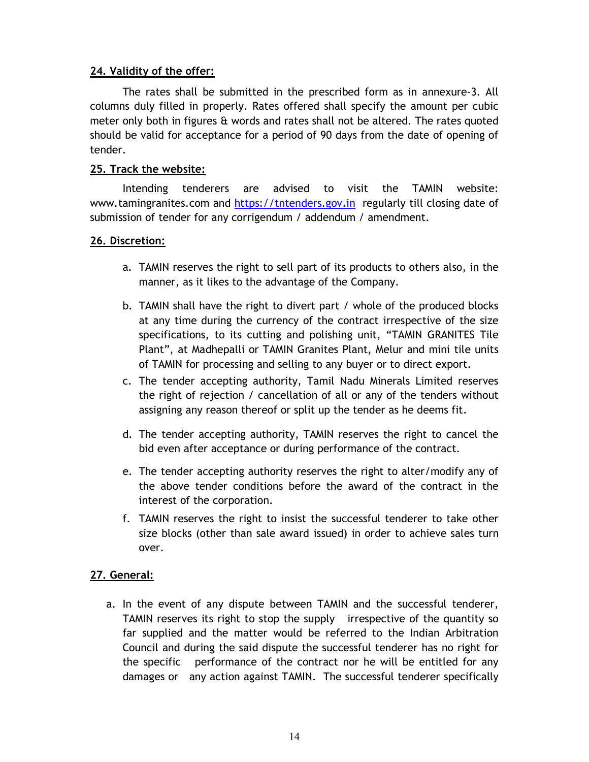## 24. Validity of the offer:

The rates shall be submitted in the prescribed form as in annexure-3. All columns duly filled in properly. Rates offered shall specify the amount per cubic meter only both in figures & words and rates shall not be altered. The rates quoted should be valid for acceptance for a period of 90 days from the date of opening of tender.

## 25. Track the website:

Intending tenderers are advised to visit the TAMIN website: www.tamingranites.com and https://tntenders.gov.in regularly till closing date of submission of tender for any corrigendum / addendum / amendment.

## 26. Discretion:

- a. TAMIN reserves the right to sell part of its products to others also, in the manner, as it likes to the advantage of the Company.
- b. TAMIN shall have the right to divert part / whole of the produced blocks at any time during the currency of the contract irrespective of the size specifications, to its cutting and polishing unit, "TAMIN GRANITES Tile Plant", at Madhepalli or TAMIN Granites Plant, Melur and mini tile units of TAMIN for processing and selling to any buyer or to direct export.
- c. The tender accepting authority, Tamil Nadu Minerals Limited reserves the right of rejection / cancellation of all or any of the tenders without assigning any reason thereof or split up the tender as he deems fit.
- d. The tender accepting authority, TAMIN reserves the right to cancel the bid even after acceptance or during performance of the contract.
- e. The tender accepting authority reserves the right to alter/modify any of the above tender conditions before the award of the contract in the interest of the corporation.
- f. TAMIN reserves the right to insist the successful tenderer to take other size blocks (other than sale award issued) in order to achieve sales turn over.

# 27. General:

a. In the event of any dispute between TAMIN and the successful tenderer, TAMIN reserves its right to stop the supply irrespective of the quantity so far supplied and the matter would be referred to the Indian Arbitration Council and during the said dispute the successful tenderer has no right for the specific performance of the contract nor he will be entitled for any damages or any action against TAMIN. The successful tenderer specifically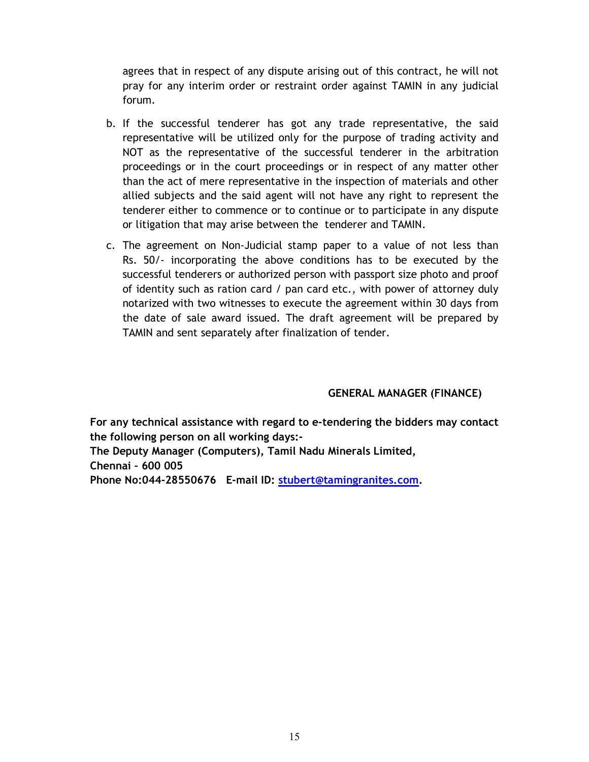agrees that in respect of any dispute arising out of this contract, he will not pray for any interim order or restraint order against TAMIN in any judicial forum.

- b. If the successful tenderer has got any trade representative, the said representative will be utilized only for the purpose of trading activity and NOT as the representative of the successful tenderer in the arbitration proceedings or in the court proceedings or in respect of any matter other than the act of mere representative in the inspection of materials and other allied subjects and the said agent will not have any right to represent the tenderer either to commence or to continue or to participate in any dispute or litigation that may arise between the tenderer and TAMIN.
- c. The agreement on Non-Judicial stamp paper to a value of not less than Rs. 50/- incorporating the above conditions has to be executed by the successful tenderers or authorized person with passport size photo and proof of identity such as ration card / pan card etc., with power of attorney duly notarized with two witnesses to execute the agreement within 30 days from the date of sale award issued. The draft agreement will be prepared by TAMIN and sent separately after finalization of tender.

## GENERAL MANAGER (FINANCE)

For any technical assistance with regard to e-tendering the bidders may contact the following person on all working days:-

The Deputy Manager (Computers), Tamil Nadu Minerals Limited, Chennai – 600 005

Phone No:044-28550676 E-mail ID: stubert@tamingranites.com.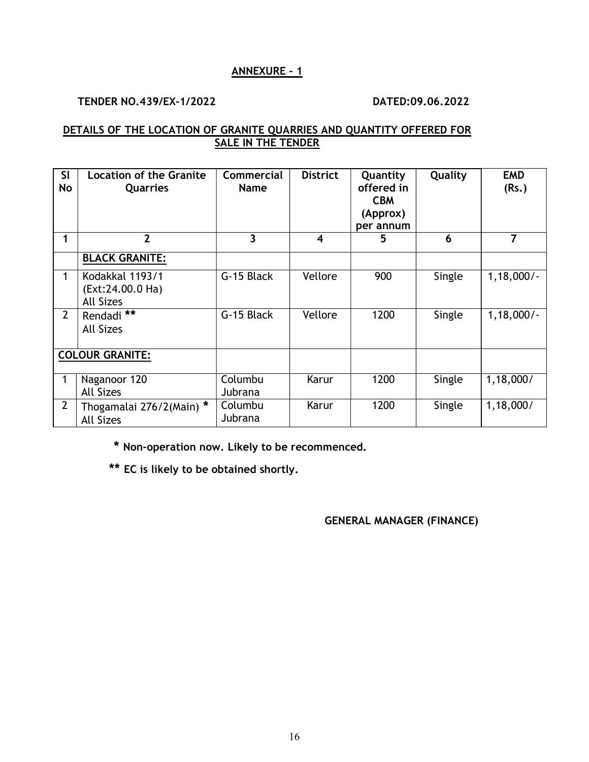#### ANNEXURE – 1

#### TENDER NO.439/EX-1/2022 DATED:09.06.2022

#### DETAILS OF THE LOCATION OF GRANITE QUARRIES AND QUANTITY OFFERED FOR SALE IN THE TENDER

| <b>SI</b><br>No        | <b>Location of the Granite</b><br><b>Quarries</b>       | <b>Commercial</b><br><b>Name</b> | <b>District</b>         | Quantity<br>offered in<br><b>CBM</b><br>(Approx)<br>per annum | Quality | <b>EMD</b><br>(Rs.) |
|------------------------|---------------------------------------------------------|----------------------------------|-------------------------|---------------------------------------------------------------|---------|---------------------|
| 1                      | $\overline{2}$                                          | $\overline{\mathbf{3}}$          | $\overline{\mathbf{4}}$ | 5                                                             | 6       | $\overline{7}$      |
|                        | <b>BLACK GRANITE:</b>                                   |                                  |                         |                                                               |         |                     |
| 1                      | Kodakkal 1193/1<br>(Ext:24.00.0 Ha)<br><b>All Sizes</b> | G-15 Black                       | Vellore                 | 900                                                           | Single  | $1,18,000/-$        |
| $\overline{2}$         | Rendadi **<br><b>All Sizes</b>                          | G-15 Black                       | Vellore                 | 1200                                                          | Single  | $1,18,000/-$        |
| <b>COLOUR GRANITE:</b> |                                                         |                                  |                         |                                                               |         |                     |
|                        | Naganoor 120<br><b>All Sizes</b>                        | Columbu<br>Jubrana               | Karur                   | 1200                                                          | Single  | 1,18,000/           |
| $2^{\circ}$            | Thogamalai 276/2(Main) *<br><b>All Sizes</b>            | Columbu<br>Jubrana               | Karur                   | 1200                                                          | Single  | 1,18,000/           |

\* Non-operation now. Likely to be recommenced.

\*\* EC is likely to be obtained shortly.

GENERAL MANAGER (FINANCE)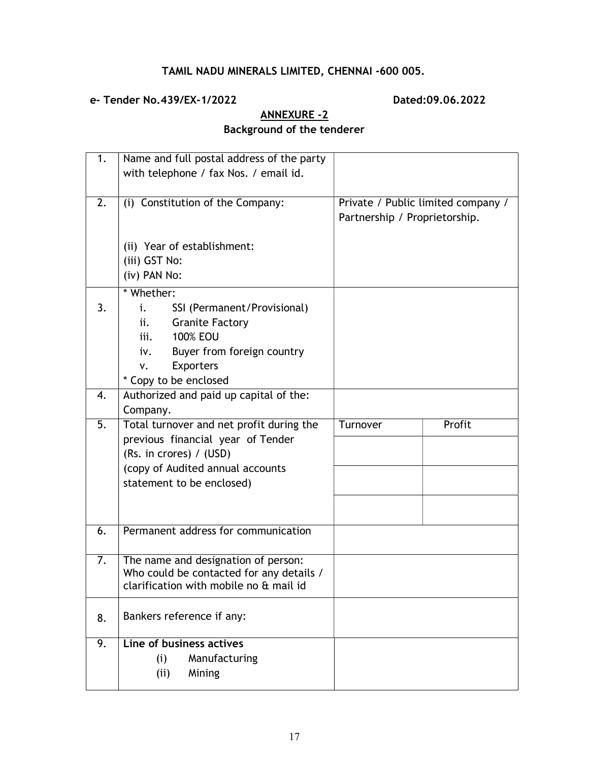# TAMIL NADU MINERALS LIMITED, CHENNAI -600 005.

## e- Tender No.439/EX-1/2022 Dated:09.06.2022

'n

# ANNEXURE -2 Background of the tenderer

| 1. | Name and full postal address of the party<br>with telephone / fax Nos. / email id. |                                                                     |        |
|----|------------------------------------------------------------------------------------|---------------------------------------------------------------------|--------|
| 2. | (i) Constitution of the Company:                                                   | Private / Public limited company /<br>Partnership / Proprietorship. |        |
|    | (ii) Year of establishment:                                                        |                                                                     |        |
|    | (iii) GST No:                                                                      |                                                                     |        |
|    | (iv) PAN No:                                                                       |                                                                     |        |
|    | * Whether:                                                                         |                                                                     |        |
| 3. | i.<br>SSI (Permanent/Provisional)                                                  |                                                                     |        |
|    | <b>Granite Factory</b><br>ii.                                                      |                                                                     |        |
|    | <b>100% EOU</b><br>iii.                                                            |                                                                     |        |
|    | Buyer from foreign country<br>iv.                                                  |                                                                     |        |
|    | <b>Exporters</b><br>٧.<br>* Copy to be enclosed                                    |                                                                     |        |
| 4. | Authorized and paid up capital of the:                                             |                                                                     |        |
|    | Company.                                                                           |                                                                     |        |
| 5. | Total turnover and net profit during the                                           | Turnover                                                            | Profit |
|    | previous financial year of Tender                                                  |                                                                     |        |
|    | (Rs. in crores) / (USD)                                                            |                                                                     |        |
|    | (copy of Audited annual accounts                                                   |                                                                     |        |
|    | statement to be enclosed)                                                          |                                                                     |        |
|    |                                                                                    |                                                                     |        |
|    |                                                                                    |                                                                     |        |
| 6. | Permanent address for communication                                                |                                                                     |        |
| 7. | The name and designation of person:                                                |                                                                     |        |
|    | Who could be contacted for any details /                                           |                                                                     |        |
|    | clarification with mobile no & mail id                                             |                                                                     |        |
| 8. | Bankers reference if any:                                                          |                                                                     |        |
|    |                                                                                    |                                                                     |        |
| 9. | Line of business actives                                                           |                                                                     |        |
|    | Manufacturing<br>(i)                                                               |                                                                     |        |
|    | (i)<br>Mining                                                                      |                                                                     |        |
|    |                                                                                    |                                                                     |        |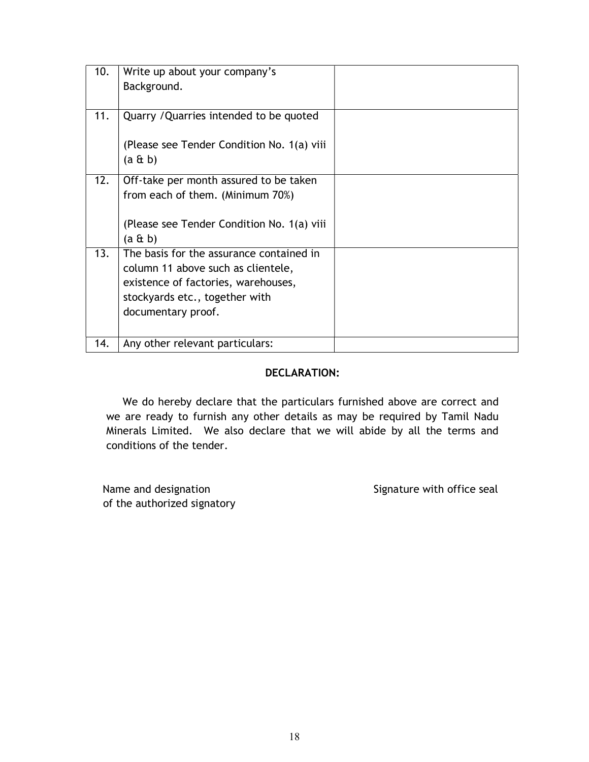| 10. | Write up about your company's              |  |
|-----|--------------------------------------------|--|
|     | Background.                                |  |
|     |                                            |  |
| 11. | Quarry / Quarries intended to be quoted    |  |
|     |                                            |  |
|     | (Please see Tender Condition No. 1(a) viii |  |
|     | $(a \& b)$                                 |  |
| 12. | Off-take per month assured to be taken     |  |
|     | from each of them. (Minimum 70%)           |  |
|     |                                            |  |
|     | (Please see Tender Condition No. 1(a) viii |  |
|     | $(a \& b)$                                 |  |
| 13. | The basis for the assurance contained in   |  |
|     | column 11 above such as clientele,         |  |
|     | existence of factories, warehouses,        |  |
|     | stockyards etc., together with             |  |
|     | documentary proof.                         |  |
|     |                                            |  |
| 14. | Any other relevant particulars:            |  |

#### DECLARATION:

We do hereby declare that the particulars furnished above are correct and we are ready to furnish any other details as may be required by Tamil Nadu Minerals Limited. We also declare that we will abide by all the terms and conditions of the tender.

Name and designation Signature with office seal of the authorized signatory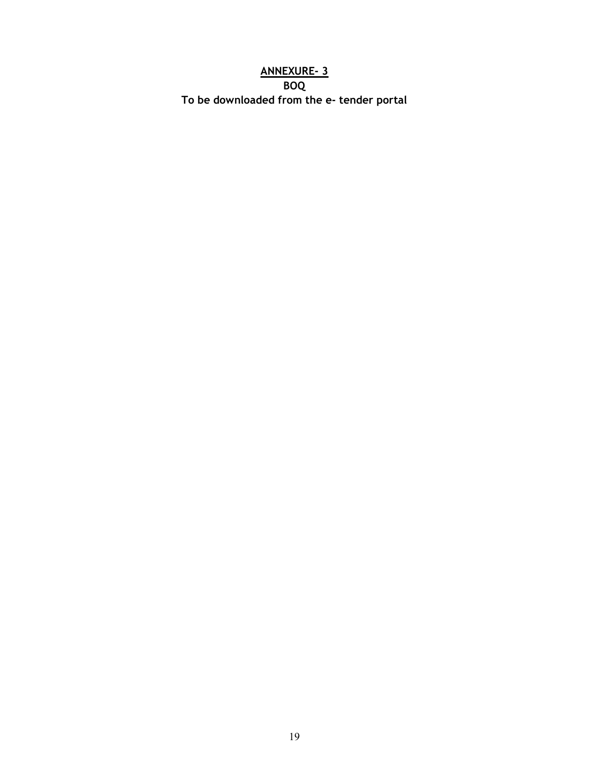# ANNEXURE- 3 BOQ To be downloaded from the e- tender portal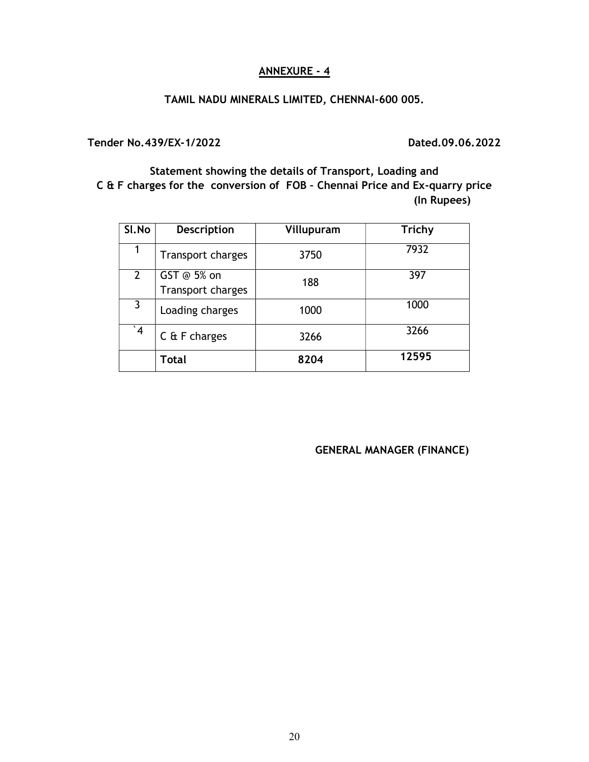#### ANNEXURE - 4

#### TAMIL NADU MINERALS LIMITED, CHENNAI-600 005.

Tender No.439/EX-1/2022

Dated.09.06.2022

Statement showing the details of Transport, Loading and C & F charges for the conversion of FOB – Chennai Price and Ex-quarry price (In Rupees)

| SI.No                 | <b>Description</b>               | Villupuram | <b>Trichy</b> |
|-----------------------|----------------------------------|------------|---------------|
|                       | <b>Transport charges</b>         | 3750       | 7932          |
| $\mathbf{2}^{\prime}$ | GST @ 5% on<br>Transport charges | 188        | 397           |
| 3                     | Loading charges                  | 1000       | 1000          |
| $\overline{4}$        | $C$ & F charges                  | 3266       | 3266          |
|                       | Total                            | 8204       | 12595         |

#### GENERAL MANAGER (FINANCE)